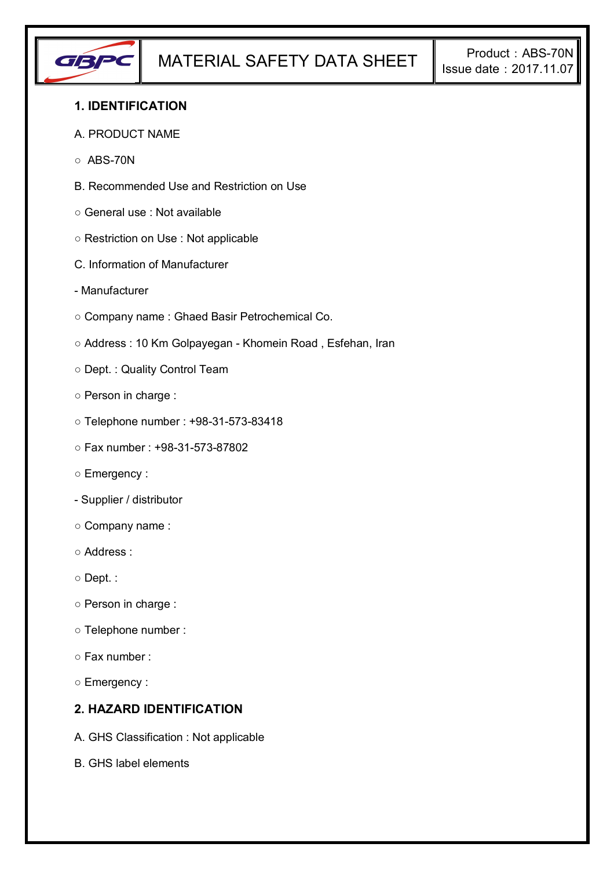

## **1. IDENTIFICATION**

#### A. PRODUCT NAME

- $\circ$  ABS-70N
- B. Recommended Use and Restriction on Use
- General use : Not available
- Restriction on Use : Not applicable
- C. Information of Manufacturer
- Manufacturer
- Company name : Ghaed Basir Petrochemical Co.
- Address : 10 Km Golpayegan Khomein Road , Esfehan, Iran
- Dept. : Quality Control Team
- Person in charge :
- Telephone number : +98-31-573-83418
- Fax number : +98-31-573-87802
- Emergency :
- Supplier / distributor
- Company name :
- Address :
- Dept. :
- Person in charge :
- Telephone number :
- Fax number :
- Emergency :

# **2. HAZARD IDENTIFICATION**

- A. GHS Classification : Not applicable
- B. GHS label elements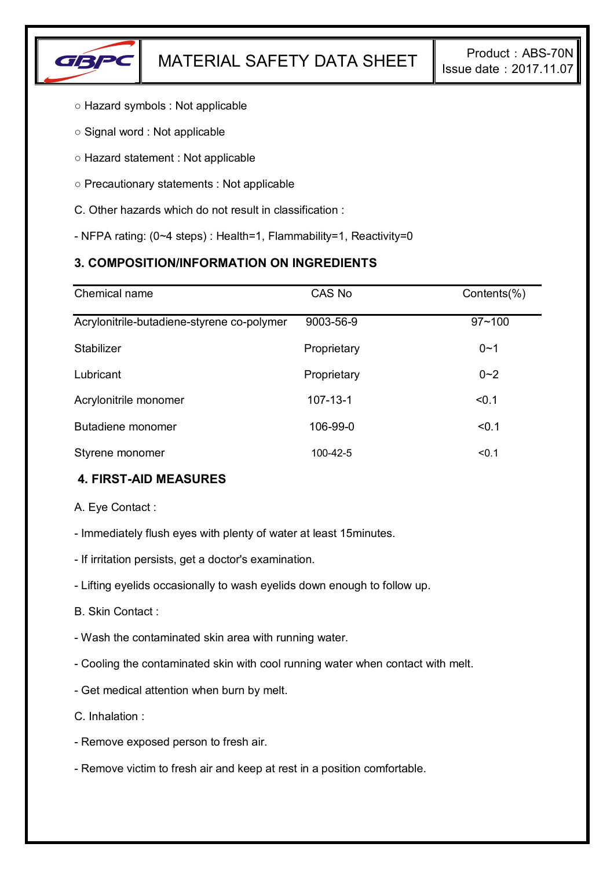

- Hazard symbols : Not applicable
- Signal word : Not applicable
- Hazard statement : Not applicable
- Precautionary statements : Not applicable
- C. Other hazards which do not result in classification :
- NFPA rating: (0~4 steps) : Health=1, Flammability=1, Reactivity=0

# **3. COMPOSITION/INFORMATION ON INGREDIENTS**

| Chemical name                              | CAS No         | Contents(%) |
|--------------------------------------------|----------------|-------------|
| Acrylonitrile-butadiene-styrene co-polymer | 9003-56-9      | $97 - 100$  |
| Stabilizer                                 | Proprietary    | $0 - 1$     |
| Lubricant                                  | Proprietary    | $0 - 2$     |
| Acrylonitrile monomer                      | $107 - 13 - 1$ | < 0.1       |
| Butadiene monomer                          | 106-99-0       | < 0.1       |
| Styrene monomer                            | 100-42-5       | < 0.1       |

# **4. FIRST-AID MEASURES**

A. Eye Contact :

- Immediately flush eyes with plenty of water at least 15minutes.
- If irritation persists, get a doctor's examination.
- Lifting eyelids occasionally to wash eyelids down enough to follow up.
- B. Skin Contact :
- Wash the contaminated skin area with running water.
- Cooling the contaminated skin with cool running water when contact with melt.
- Get medical attention when burn by melt.
- C. Inhalation :
- Remove exposed person to fresh air.
- Remove victim to fresh air and keep at rest in a position comfortable.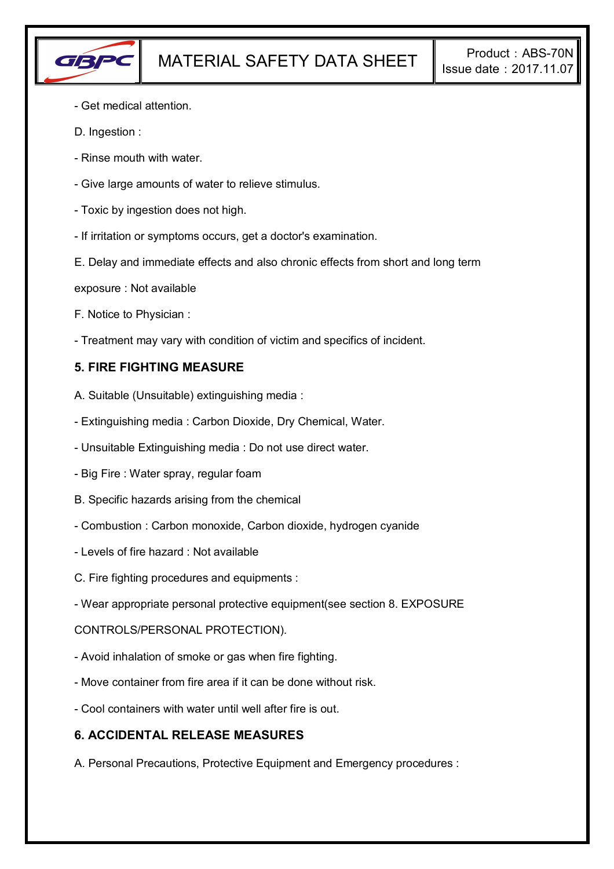

- Get medical attention.
- D. Ingestion :
- Rinse mouth with water.
- Give large amounts of water to relieve stimulus.
- Toxic by ingestion does not high.
- If irritation or symptoms occurs, get a doctor's examination.
- E. Delay and immediate effects and also chronic effects from short and long term
- exposure : Not available
- F. Notice to Physician :
- Treatment may vary with condition of victim and specifics of incident.

## **5. FIRE FIGHTING MEASURE**

- A. Suitable (Unsuitable) extinguishing media :
- Extinguishing media : Carbon Dioxide, Dry Chemical, Water.
- Unsuitable Extinguishing media : Do not use direct water.
- Big Fire : Water spray, regular foam
- B. Specific hazards arising from the chemical
- Combustion : Carbon monoxide, Carbon dioxide, hydrogen cyanide
- Levels of fire hazard : Not available
- C. Fire fighting procedures and equipments :
- Wear appropriate personal protective equipment(see section 8. EXPOSURE

### CONTROLS/PERSONAL PROTECTION).

- Avoid inhalation of smoke or gas when fire fighting.
- Move container from fire area if it can be done without risk.
- Cool containers with water until well after fire is out.

### **6. ACCIDENTAL RELEASE MEASURES**

A. Personal Precautions, Protective Equipment and Emergency procedures :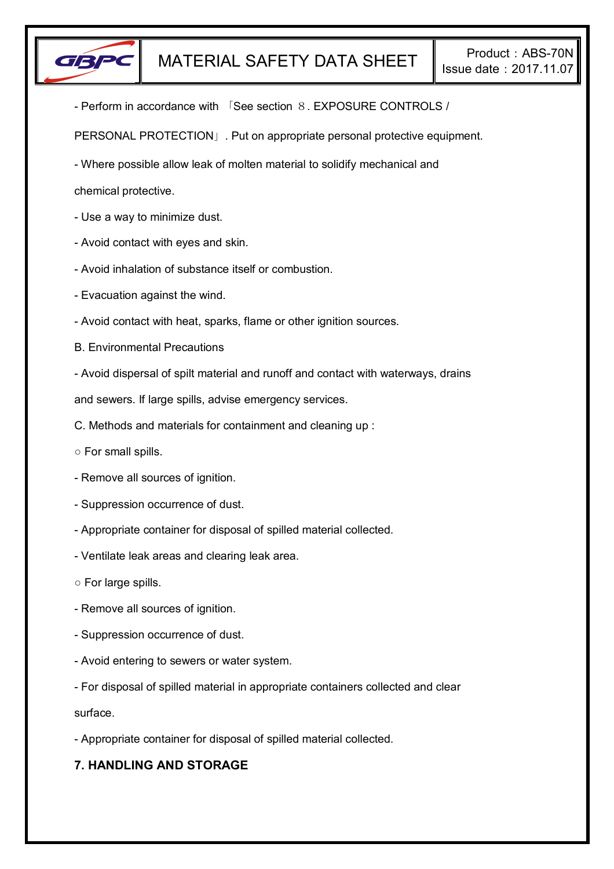

- Perform in accordance with 「See section 8. EXPOSURE CONTROLS /

PERSONAL PROTECTION」. Put on appropriate personal protective equipment.

- Where possible allow leak of molten material to solidify mechanical and

chemical protective.

- Use a way to minimize dust.
- Avoid contact with eyes and skin.
- Avoid inhalation of substance itself or combustion.
- Evacuation against the wind.
- Avoid contact with heat, sparks, flame or other ignition sources.
- B. Environmental Precautions
- Avoid dispersal of spilt material and runoff and contact with waterways, drains

and sewers. If large spills, advise emergency services.

- C. Methods and materials for containment and cleaning up :
- For small spills.
- Remove all sources of ignition.
- Suppression occurrence of dust.
- Appropriate container for disposal of spilled material collected.
- Ventilate leak areas and clearing leak area.
- For large spills.
- Remove all sources of ignition.
- Suppression occurrence of dust.
- Avoid entering to sewers or water system.
- For disposal of spilled material in appropriate containers collected and clear

surface.

- Appropriate container for disposal of spilled material collected.

# **7. HANDLING AND STORAGE**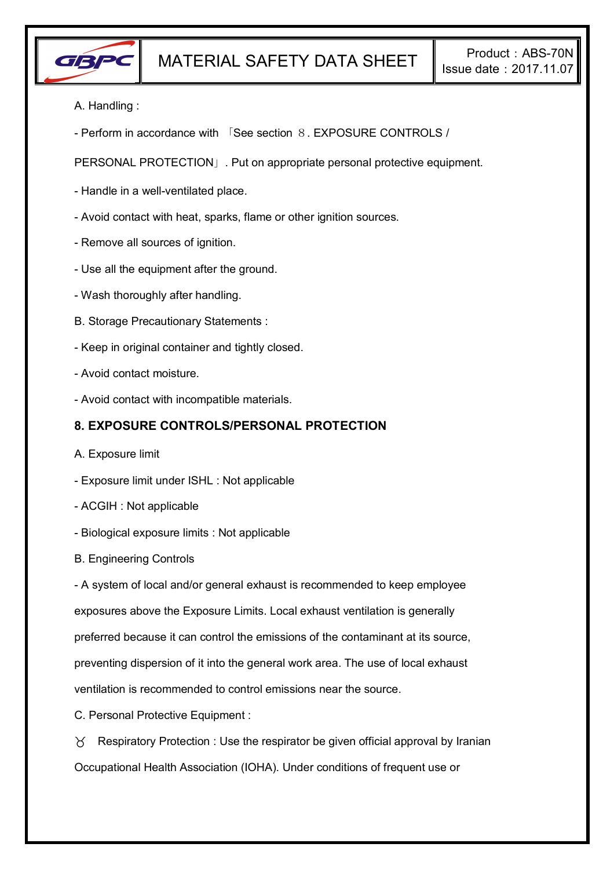

A. Handling :

- Perform in accordance with 「See section 8. EXPOSURE CONTROLS /

PERSONAL PROTECTION」. Put on appropriate personal protective equipment.

- Handle in a well-ventilated place.
- Avoid contact with heat, sparks, flame or other ignition sources.
- Remove all sources of ignition.
- Use all the equipment after the ground.
- Wash thoroughly after handling.
- B. Storage Precautionary Statements :
- Keep in original container and tightly closed.
- Avoid contact moisture.
- Avoid contact with incompatible materials.

### **8. EXPOSURE CONTROLS/PERSONAL PROTECTION**

- A. Exposure limit
- Exposure limit under ISHL : Not applicable
- ACGIH : Not applicable
- Biological exposure limits : Not applicable
- B. Engineering Controls

- A system of local and/or general exhaust is recommended to keep employee exposures above the Exposure Limits. Local exhaust ventilation is generally preferred because it can control the emissions of the contaminant at its source, preventing dispersion of it into the general work area. The use of local exhaust ventilation is recommended to control emissions near the source.

C. Personal Protective Equipment :

 $\gamma$  Respiratory Protection : Use the respirator be given official approval by Iranian Occupational Health Association (IOHA). Under conditions of frequent use or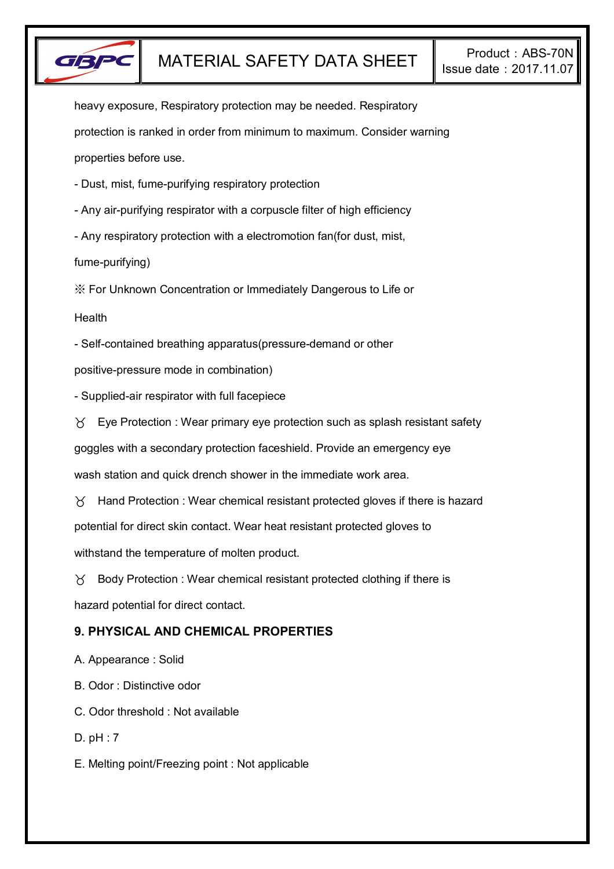

heavy exposure, Respiratory protection may be needed. Respiratory protection is ranked in order from minimum to maximum. Consider warning properties before use.

- Dust, mist, fume-purifying respiratory protection

- Any air-purifying respirator with a corpuscle filter of high efficiency

- Any respiratory protection with a electromotion fan(for dust, mist,

fume-purifying)

※ For Unknown Concentration or Immediately Dangerous to Life or

**Health** 

- Self-contained breathing apparatus(pressure-demand or other

positive-pressure mode in combination)

- Supplied-air respirator with full facepiece

 $\forall$  Eye Protection : Wear primary eye protection such as splash resistant safety

goggles with a secondary protection faceshield. Provide an emergency eye

wash station and quick drench shower in the immediate work area.

 $\gamma$  Hand Protection : Wear chemical resistant protected gloves if there is hazard potential for direct skin contact. Wear heat resistant protected gloves to withstand the temperature of molten product.

 $\gamma$  Body Protection : Wear chemical resistant protected clothing if there is hazard potential for direct contact.

# **9. PHYSICAL AND CHEMICAL PROPERTIES**

A. Appearance : Solid

B. Odor : Distinctive odor

C. Odor threshold : Not available

D. pH : 7

E. Melting point/Freezing point : Not applicable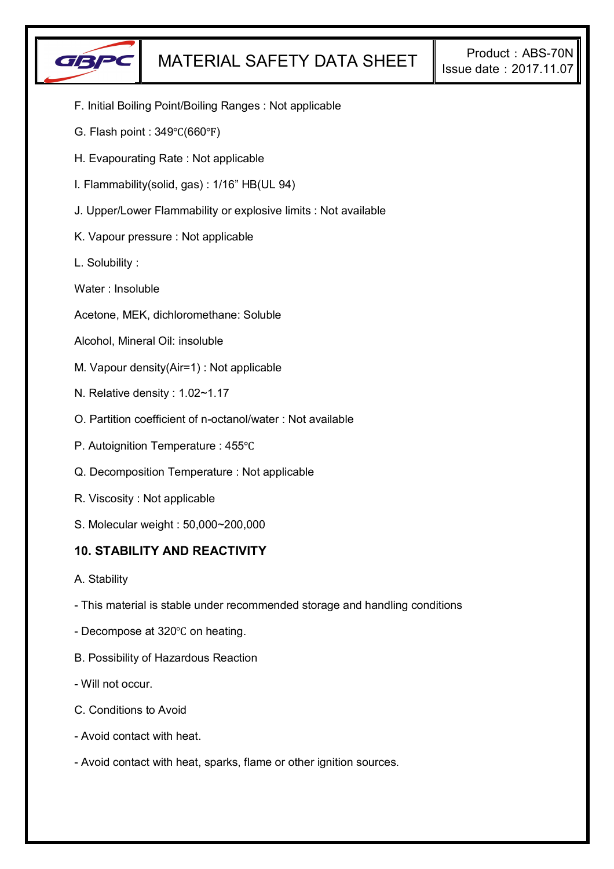

- F. Initial Boiling Point/Boiling Ranges : Not applicable
- G. Flash point : 349℃(660℉)
- H. Evapourating Rate : Not applicable
- I. Flammability(solid, gas) : 1/16" HB(UL 94)
- J. Upper/Lower Flammability or explosive limits : Not available
- K. Vapour pressure : Not applicable
- L. Solubility :
- Water : Insoluble
- Acetone, MEK, dichloromethane: Soluble
- Alcohol, Mineral Oil: insoluble
- M. Vapour density(Air=1) : Not applicable
- N. Relative density : 1.02~1.17
- O. Partition coefficient of n-octanol/water : Not available
- P. Autoignition Temperature : 455℃
- Q. Decomposition Temperature : Not applicable
- R. Viscosity : Not applicable
- S. Molecular weight : 50,000~200,000

### **10. STABILITY AND REACTIVITY**

- A. Stability
- This material is stable under recommended storage and handling conditions
- Decompose at 320℃ on heating.
- B. Possibility of Hazardous Reaction
- Will not occur.
- C. Conditions to Avoid
- Avoid contact with heat.
- Avoid contact with heat, sparks, flame or other ignition sources.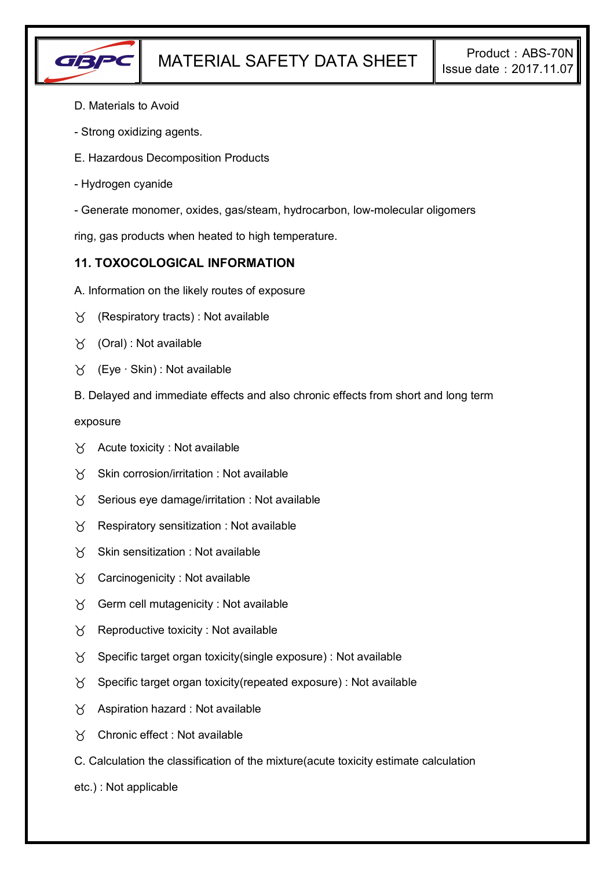

- D. Materials to Avoid
- Strong oxidizing agents.
- E. Hazardous Decomposition Products
- Hydrogen cyanide
- Generate monomer, oxides, gas/steam, hydrocarbon, low-molecular oligomers

ring, gas products when heated to high temperature.

## **11. TOXOCOLOGICAL INFORMATION**

- A. Information on the likely routes of exposure
- $\forall$  (Respiratory tracts) : Not available
- $\forall$  (Oral): Not available
- (Eye ∙ Skin) : Not available
- B. Delayed and immediate effects and also chronic effects from short and long term

exposure

- $\forall$  Acute toxicity : Not available
- $\gamma$  Skin corrosion/irritation : Not available
- $\gamma$  Serious eye damage/irritation : Not available
- $\gamma$  Respiratory sensitization : Not available
- $X$  Skin sensitization : Not available
- Carcinogenicity : Not available
- $\gamma$  Germ cell mutagenicity : Not available
- $\gamma$  Reproductive toxicity : Not available
- $\gamma$  Specific target organ toxicity(single exposure) : Not available
- $\gamma$  Specific target organ toxicity(repeated exposure) : Not available
- $\chi$  Aspiration hazard : Not available
- Chronic effect : Not available
- C. Calculation the classification of the mixture(acute toxicity estimate calculation
- etc.) : Not applicable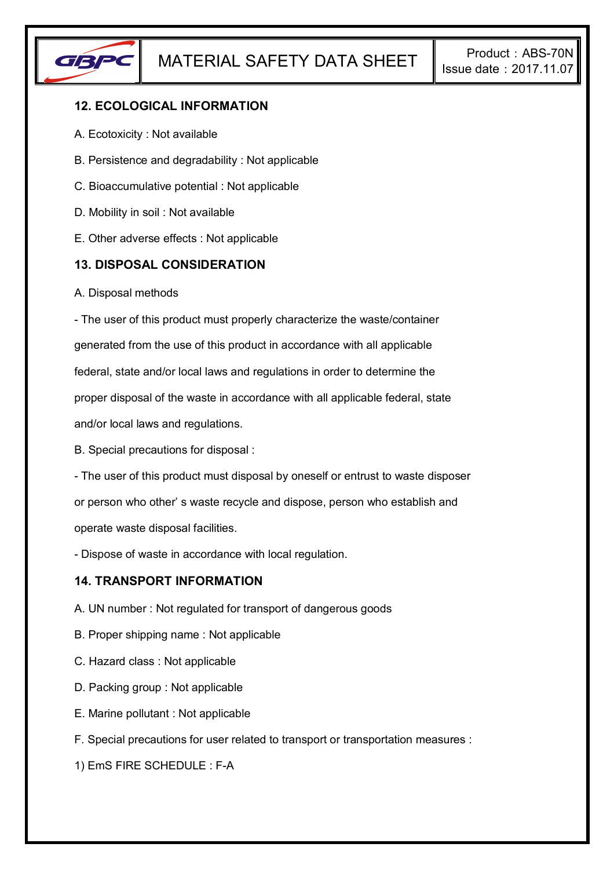

# **12. ECOLOGICAL INFORMATION**

- A. Ecotoxicity : Not available
- B. Persistence and degradability : Not applicable
- C. Bioaccumulative potential : Not applicable
- D. Mobility in soil : Not available
- E. Other adverse effects : Not applicable

### **13. DISPOSAL CONSIDERATION**

A. Disposal methods

- The user of this product must properly characterize the waste/container generated from the use of this product in accordance with all applicable federal, state and/or local laws and regulations in order to determine the proper disposal of the waste in accordance with all applicable federal, state and/or local laws and regulations.

B. Special precautions for disposal :

- The user of this product must disposal by oneself or entrust to waste disposer or person who other' s waste recycle and dispose, person who establish and operate waste disposal facilities.

- Dispose of waste in accordance with local regulation.

### **14. TRANSPORT INFORMATION**

- A. UN number : Not regulated for transport of dangerous goods
- B. Proper shipping name : Not applicable
- C. Hazard class : Not applicable
- D. Packing group : Not applicable
- E. Marine pollutant : Not applicable
- F. Special precautions for user related to transport or transportation measures :

1) EmS FIRE SCHEDULE : F-A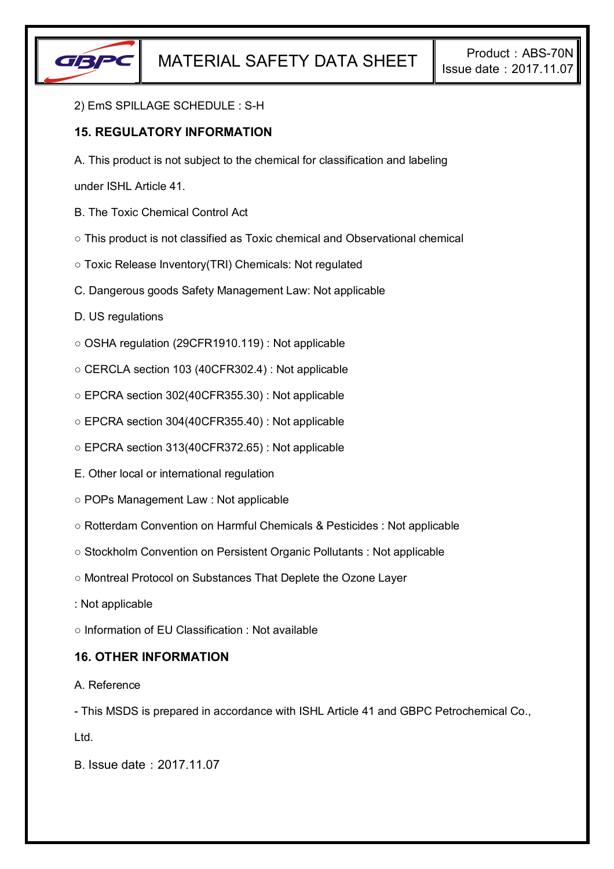

#### 2) EmS SPILLAGE SCHEDULE : S-H

## **15. REGULATORY INFORMATION**

A. This product is not subject to the chemical for classification and labeling

under ISHL Article 41.

- B. The Toxic Chemical Control Act
- This product is not classified as Toxic chemical and Observational chemical
- Toxic Release Inventory(TRI) Chemicals: Not regulated
- C. Dangerous goods Safety Management Law: Not applicable
- D. US regulations
- OSHA regulation (29CFR1910.119) : Not applicable
- CERCLA section 103 (40CFR302.4) : Not applicable
- EPCRA section 302(40CFR355.30) : Not applicable
- EPCRA section 304(40CFR355.40) : Not applicable
- EPCRA section 313(40CFR372.65) : Not applicable
- E. Other local or international regulation
- POPs Management Law : Not applicable
- Rotterdam Convention on Harmful Chemicals & Pesticides : Not applicable
- Stockholm Convention on Persistent Organic Pollutants : Not applicable
- Montreal Protocol on Substances That Deplete the Ozone Layer
- : Not applicable
- Information of EU Classification : Not available

### **16. OTHER INFORMATION**

#### A. Reference

- This MSDS is prepared in accordance with ISHL Article 41 and GBPC Petrochemical Co.,

Ltd.

B. Issue date:2017.11.07